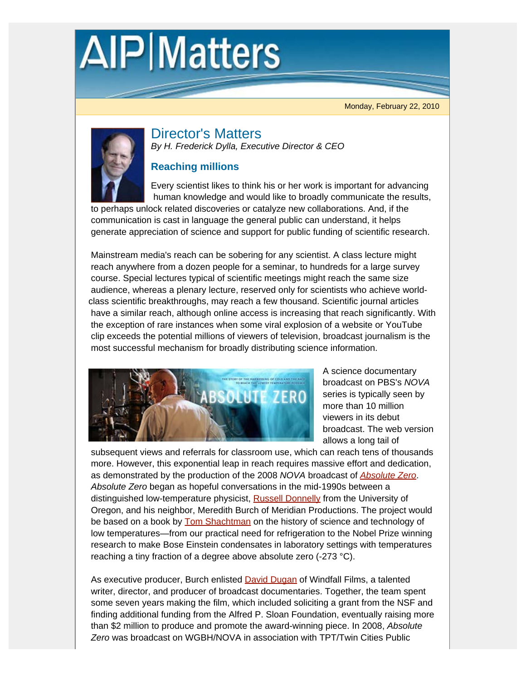# **AIP** Matters

Monday, February 22, 2010



Director's Matters *By H. Frederick Dylla, Executive Director & CEO*

## **Reaching millions**

Every scientist likes to think his or her work is important for advancing human knowledge and would like to broadly communicate the results,

 to perhaps unlock related discoveries or catalyze new collaborations. And, if the communication is cast in language the general public can understand, it helps generate appreciation of science and support for public funding of scientific research.

Mainstream media's reach can be sobering for any scientist. A class lecture might reach anywhere from a dozen people for a seminar, to hundreds for a large survey course. Special lectures typical of scientific meetings might reach the same size audience, whereas a plenary lecture, reserved only for scientists who achieve worldclass scientific breakthroughs, may reach a few thousand. Scientific journal articles have a similar reach, although online access is increasing that reach significantly. With the exception of rare instances when some viral explosion of a website or YouTube clip exceeds the potential millions of viewers of television, broadcast journalism is the most successful mechanism for broadly distributing science information.



 A science documentary broadcast on PBS's *NOVA* series is typically seen by more than 10 million viewers in its debut broadcast. The web version allows a long tail of

 subsequent views and referrals for classroom use, which can reach tens of thousands more. However, this exponential leap in reach requires massive effort and dedication, as demonstrated by the production of the 2008 *NOVA* broadcast of *Absolute Zero*. *Absolute Zero* began as hopeful conversations in the mid-1990s between a distinguished low-temperature physicist, **Russell Donnelly** from the University of Oregon, and his neighbor, Meredith Burch of Meridian Productions. The project would be based on a book by **Tom Shachtman** on the history of science and technology of low temperatures—from our practical need for refrigeration to the Nobel Prize winning research to make Bose Einstein condensates in laboratory settings with temperatures reaching a tiny fraction of a degree above absolute zero (-273 °C).

As executive producer, Burch enlisted **David Dugan** of Windfall Films, a talented writer, director, and producer of broadcast documentaries. Together, the team spent some seven years making the film, which included soliciting a grant from the NSF and finding additional funding from the Alfred P. Sloan Foundation, eventually raising more than \$2 million to produce and promote the award-winning piece. In 2008, *Absolute Zero* was broadcast on WGBH/NOVA in association with TPT/Twin Cities Public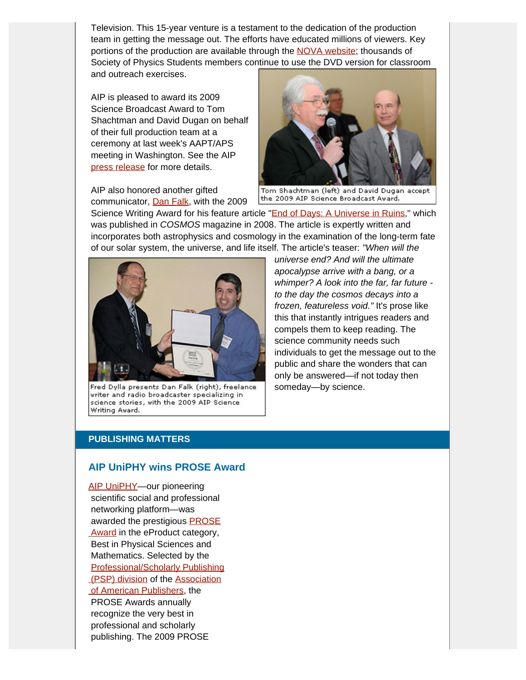Television. This 15-year venture is a testament to the dedication of the production team in getting the message out. The efforts have educated millions of viewers. Key portions of the production are available through the NOVA website; thousands of Society of Physics Students members continue to use the DVD version for classroom and outreach exercises.

AIP is pleased to award its 2009 Science Broadcast Award to Tom Shachtman and David Dugan on behalf of their full production team at a ceremony at last week's AAPT/APS meeting in Washington. See the AIP press release for more details.

AIP also honored another gifted communicator, Dan Falk, with the 2009



Tom Shachtman (left) and David Dugan accept the 2009 AIP Science Broadcast Award.

Science Writing Award for his feature article "End of Days: A Universe in Ruins," which was published in *COSMOS* magazine in 2008. The article is expertly written and incorporates both astrophysics and cosmology in the examination of the long-term fate of our solar system, the universe, and life itself. The article's teaser: *"When will the*



Fred Dylla presents Dan Falk (right), freelance writer and radio broadcaster specializing in science stories, with the 2009 AIP Science Writing Award.

 *universe end? And will the ultimate apocalypse arrive with a bang, or a whimper? A look into the far, far future to the day the cosmos decays into a frozen, featureless void."* It's prose like this that instantly intrigues readers and compels them to keep reading. The science community needs such individuals to get the message out to the public and share the wonders that can only be answered—if not today then someday—by science.

#### **PUBLISHING MATTERS**

#### **AIP UniPHY wins PROSE Award**

AIP UniPHY-our pioneering scientific social and professional networking platform—was awarded the prestigious **PROSE** Award in the eProduct category, Best in Physical Sciences and Mathematics. Selected by the Professional/Scholarly Publishing (PSP) division of the Association of American Publishers, the PROSE Awards annually recognize the very best in professional and scholarly publishing. The 2009 PROSE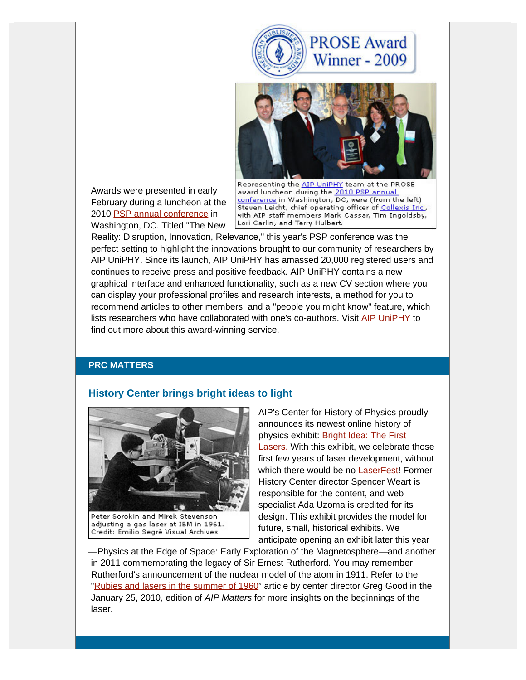



 Awards were presented in early February during a luncheon at the 2010 PSP annual conference in Washington, DC. Titled "The New

Representing the AIP UniPHY team at the PROSE award luncheon during the 2010 PSP annual conference in Washington, DC, were (from the left) Steven Leicht, chief operating officer of Collexis Inc., with AIP staff members Mark Cassar, Tim Ingoldsby, Lori Carlin, and Terry Hulbert.

 Reality: Disruption, Innovation, Relevance," this year's PSP conference was the perfect setting to highlight the innovations brought to our community of researchers by AIP UniPHY. Since its launch, AIP UniPHY has amassed 20,000 registered users and continues to receive press and positive feedback. AIP UniPHY contains a new graphical interface and enhanced functionality, such as a new CV section where you can display your professional profiles and research interests, a method for you to recommend articles to other members, and a "people you might know" feature, which lists researchers who have collaborated with one's co-authors. Visit AIP UniPHY to find out more about this award-winning service.

#### **PRC MATTERS**

### **History Center brings bright ideas to light**



Peter Sorokin and Mirek Stevenson adjusting a gas laser at IBM in 1961. Credit: Emilio Segrè Visual Archives

 AIP's Center for History of Physics proudly announces its newest online history of physics exhibit: Bright Idea: The First **Lasers.** With this exhibit, we celebrate those first few years of laser development, without which there would be no LaserFest! Former History Center director Spencer Weart is responsible for the content, and web specialist Ada Uzoma is credited for its design. This exhibit provides the model for future, small, historical exhibits. We anticipate opening an exhibit later this year

—Physics at the Edge of Space: Early Exploration of the Magnetosphere—and another in 2011 commemorating the legacy of Sir Ernest Rutherford. You may remember Rutherford's announcement of the nuclear model of the atom in 1911. Refer to the "Rubies and lasers in the summer of 1960" article by center director Greg Good in the January 25, 2010, edition of *AIP Matters* for more insights on the beginnings of the laser.